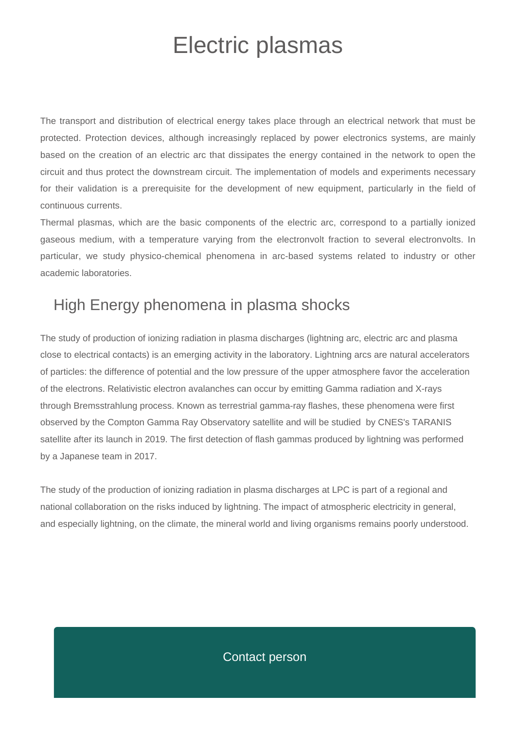## Electric plasmas

The transport and distribution of electrical energy takes place through an electrical network that must be protected. Protection devices, although increasingly replaced by power electronics systems, are mainly based on the creation of an electric arc that dissipates the energy contained in the network to open the circuit and thus protect the downstream circuit. The implementation of models and experiments necessary for their validation is a prerequisite for the development of new equipment, particularly in the field of continuous currents.

Thermal plasmas, which are the basic components of the electric arc, correspond to a partially ionized gaseous medium, with a temperature varying from the electronvolt fraction to several electronvolts. In particular, we study physico-chemical phenomena in arc-based systems related to industry or other academic laboratories.

## High Energy phenomena in plasma shocks

The study of production of ionizing radiation in plasma discharges (lightning arc, electric arc and plasma close to electrical contacts) is an emerging activity in the laboratory. Lightning arcs are natural accelerators of particles: the difference of potential and the low pressure of the upper atmosphere favor the acceleration of the electrons. Relativistic electron avalanches can occur by emitting Gamma radiation and X-rays through Bremsstrahlung process. Known as terrestrial gamma-ray flashes, these phenomena were first observed by the Compton Gamma Ray Observatory satellite and will be studied by CNES's TARANIS satellite after its launch in 2019. The first detection of flash gammas produced by lightning was performed by a Japanese team in 2017.

The study of the production of ionizing radiation in plasma discharges at LPC is part of a regional and national collaboration on the risks induced by lightning. The impact of atmospheric electricity in general, and especially lightning, on the climate, the mineral world and living organisms remains poorly understood.

## Contact person